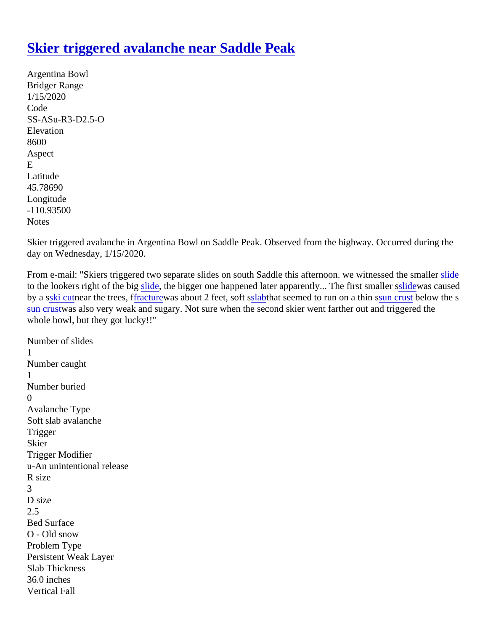## [Skier triggered avalanche near Saddle Pea](https://www.mtavalanche.com/node/21587)k

Argentina Bowl Bridger Range 1/15/2020 Code SS-ASu-R3-D2.5-O Elevation 8600 Aspect E Latitude 45.78690 Longitude -110.93500 **Notes** 

Skier triggered avalanche in Argentina Bowl on Saddle Peak. Observed from the highway. Occurred during the day on Wednesday, 1/15/2020.

From e-mail: "Skiers triggered two separate slides on south Saddle this afternoon. we witnessed t[he sm](https://www.mtavalanche.com/taxonomy/term/305)aller to the lookers right of the biglide, the bigger one happened later apparently... The first s[maller](https://www.mtavalanche.com/taxonomy/term/305) was caused by a ski cutnear the trees [fracturew](https://www.mtavalanche.com/taxonomy/term/278)as about 2 feet, soft station seemed to run on a this use crustelow the s [sun crus](https://www.mtavalanche.com/taxonomy/term/313)tvas also very weak and sugary. Not sure when the second skier went farther out and triggered the whole bowl, but they got lucky!!"

Number of slides 1 Number caught 1 Number buried  $\Omega$ Avalanche Type Soft slab avalanche **Trigger** Skier Trigger Modifier u-An unintentional release R size 3 D size 2.5 Bed Surface O - Old snow Problem Type Persistent Weak Layer Slab Thickness 36.0 inches Vertical Fall